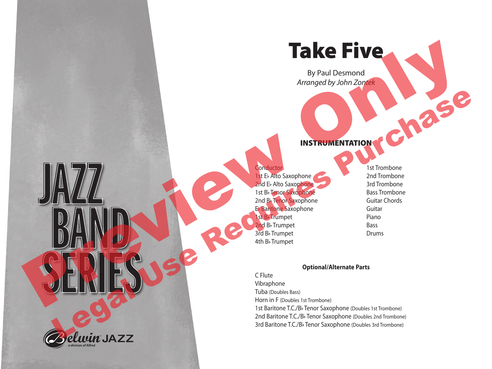# Take Five

By Paul Desmond *Arranged by John Zontek*

# INSTRUMENTATION

**Conductor** 1st Eb Alto Saxophone 2nd Eb Alto Saxophone 1st B<sub>b</sub> Tenor Saxophone 2nd B<sub>b</sub> Tenor Saxophone Eb Baritone Saxophone 1st Bb Trumpet 2nd B<sub>b</sub> Trumpet 3rd Bb Trumpet 4th Bb Trumpet Take Five

1st Trombone 2nd Trombone 3rd Trombone Bass Trombone Guitar Chords Guitar Piano Bass Drums

#### **Optional/Alternate Parts**

C Flute Vibraphone Tuba (Doubles Bass) Horn in F (Doubles 1st Trombone) 1st Baritone T.C./Bb Tenor Saxophone (Doubles 1st Trombone) 2nd Baritone T.C./Bb Tenor Saxophone (Doubles 2nd Trombone) 3rd Baritone T.C./Bb Tenor Saxophone (Doubles 3rd Trombone) MINE REQUIRE REQUIRE REQUIRE REQUIRE REQUIRE REQUIRE REQUIRE REQUIRE REQUIRE REQUIRE REQUIRE REQUIRE REQUIRE REQUIRE REQUIRE REQUIRE REQUIRE REQUIRE REQUIRE REQUIRE REQUIRE REQUIRE REQUIRE REQUIRE REQUIRE REQUIRE REQUIRE R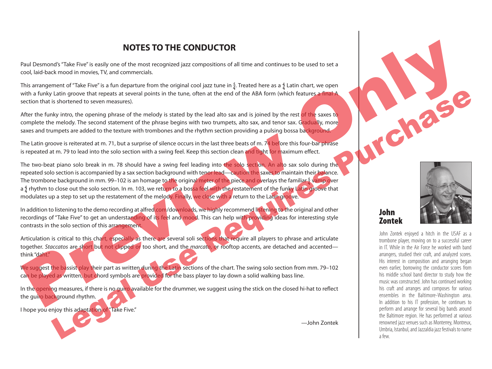## **NOTES TO THE CONDUCTOR**

Paul Desmond's "Take Five" is easily one of the most recognized jazz compositions of all time and continues to be used to set a cool, laid-back mood in movies, TV, and commercials.

This arrangement of "Take Five" is a fun departure from the original cool jazz tune in  $\frac{5}{4}$ . Treated here as a  $\frac{4}{4}$  Latin chart, we open with a funky Latin groove that repeats at several points in the tune, often at the end of the ABA form (which features a final A section that is shortened to seven measures).

After the funky intro, the opening phrase of the melody is stated by the lead alto sax and is joined by the rest of the saxes to complete the melody. The second statement of the phrase begins with two trumpets, alto sax, and tenor sax. Gradually, more saxes and trumpets are added to the texture with trombones and the rhythm section providing a pulsing bossa background.

The Latin groove is reiterated at m. 71, but a surprise of silence occurs in the last three beats of m. 74 before this four-bar phrase is repeated at m. 79 to lead into the solo section with a swing feel. Keep this section clean and tight for maximum effect.

The two-beat piano solo break in m. 78 should have a swing feel leading into the solo section. An alto sax solo during the repeated solo section is accompanied by a sax section background with tenor lead—caution the saxes to maintain their balance. The trombone background in mm. 99–102 is an homage to the original meter of the piece and overlays the familiar  $\frac{5}{4}$  vamp over a  $_4^4$  rhythm to close out the solo section. In m. 103, we return to a bos<mark>sa feel with the r</mark>estatement of the funky Latin groove that modulates up a step to set up the restatement of the melody. Finally, we close with a return to the Latin groove. NOTES TO THE CONDUCTOR<br>
NOTES TO THE CONDUCTOR<br>
The structure and the media control of the media comparison of different control of the media control of the<br>
this structure and the structure of the structure of the struct Legal Use Report of the new offering the state of the state of the AB A form (which feature a first as a state and state and state and state and state and state and state and state and state and state and state and state a

In addition to listening to the demo recording at alfred.com/downloads, we highly recommend listening to the original and other recordings of "Take Five" to get an understanding of its feel and mood. This can help with providing ideas for interesting style contrasts in the solo section of this arrangement.

Articulation is critical to this chart, especially as there are several soli sections that require all players to phrase and articulate together. *Staccatos* are short but not clipped or too short, and the *marcato*, or rooftop accents, are detached and accented think "daht."

We suggest the bassist play their part as written during the Latin sections of the chart. The swing solo section from mm. 79–102 can be played as written, but chord symbols are provided for the bass player to lay down a solid walking bass line.

In the opening measures, if there is no guiro available for the drummer, we suggest using the stick on the closed hi-hat to reflect the guiro background rhythm.

I hope you enjoy this adaptation of "Take Five."

—John Zontek



John Zontek enjoyed a hitch in the USAF as a trombone player, moving on to a successful career in IT. While in the Air Force he worked with band arrangers, studied their craft, and analyzed scores. His interest in composition and arranging began even earlier, borrowing the conductor scores from his middle school band director to study how the music was constructed. John has continued working his craft and arranges and composes for various ensembles in the Baltimore-Washington area. In addition to his IT profession, he continues to perform and arrange for several big bands around the Baltimore region. He has performed at various renowned jazz venues such as Monterrey, Montreux, Umbria, Istanbul, and Jazzaldia jazz festivals to name

John Zontek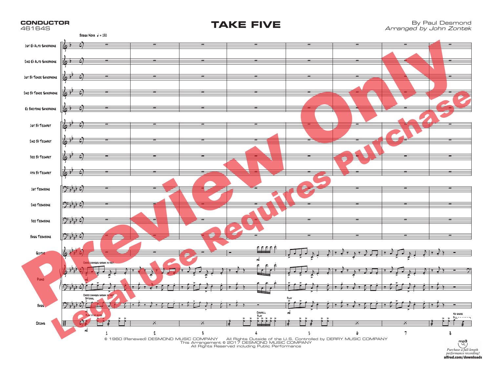**CONDUCTOR**

46164S

## **TAKE FIVE**

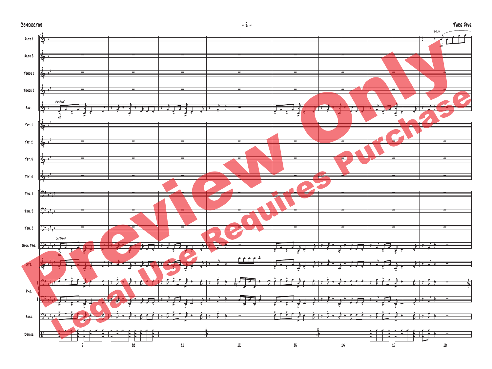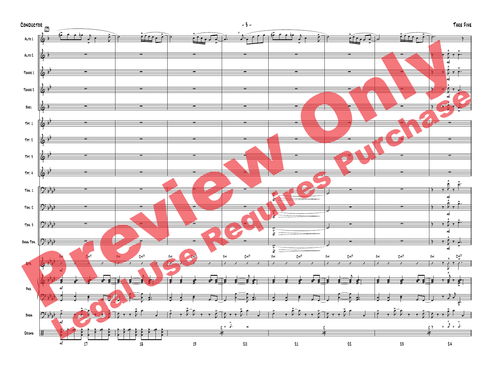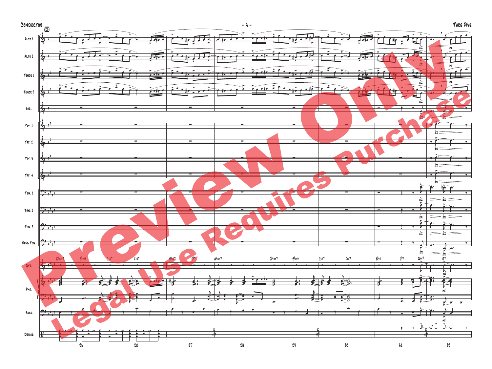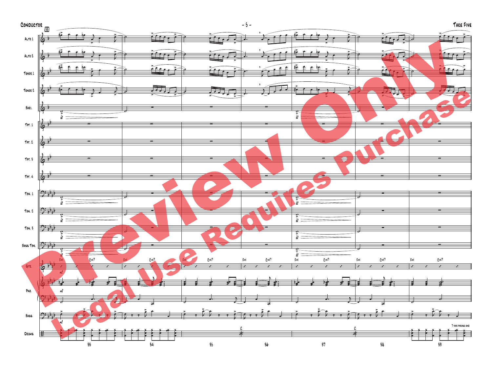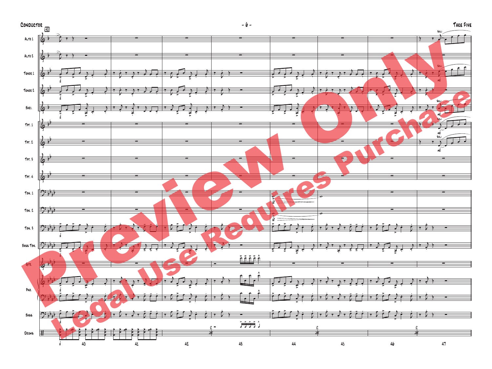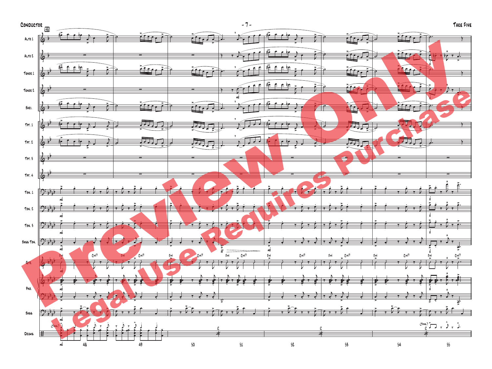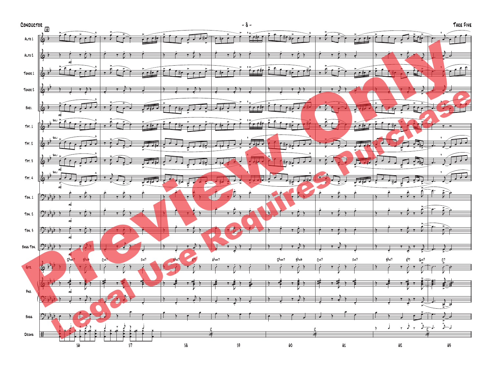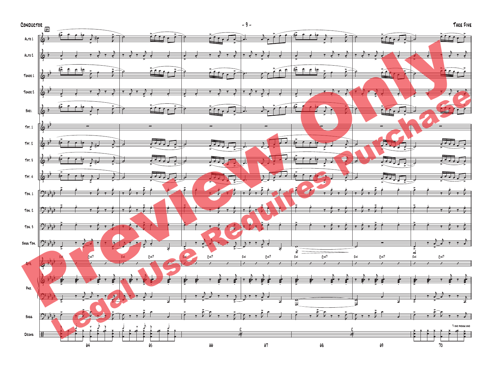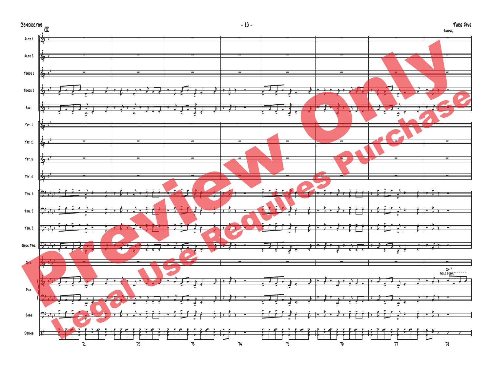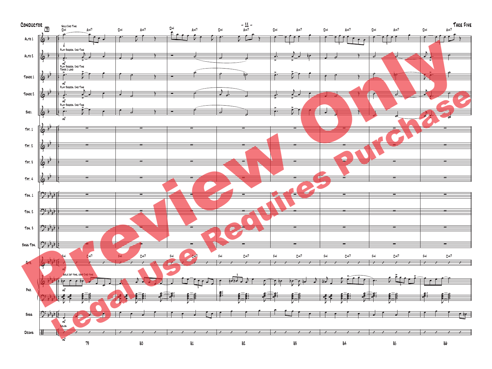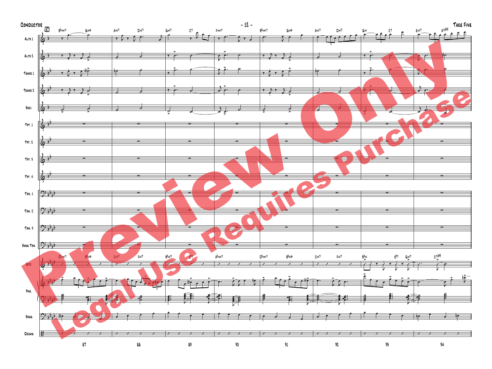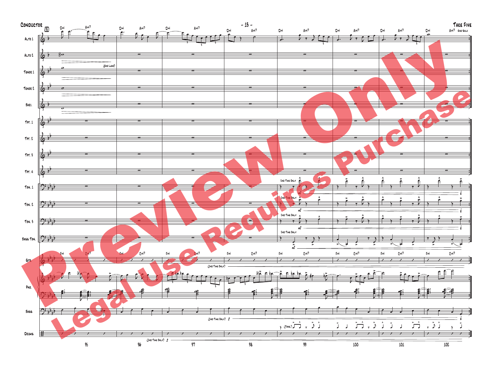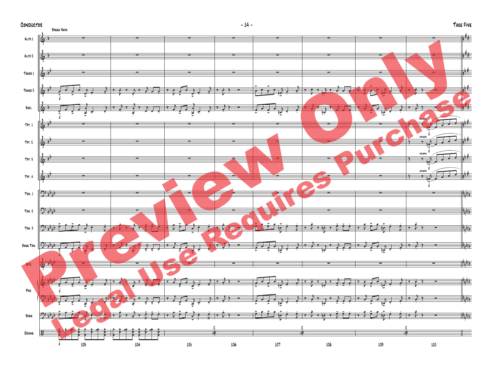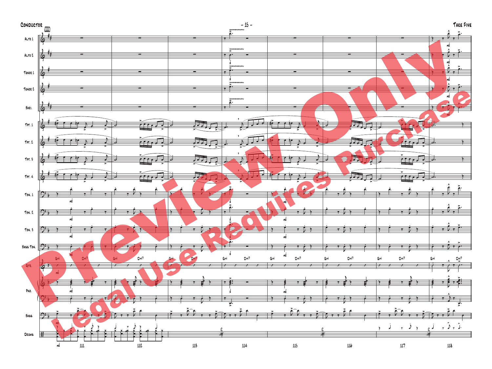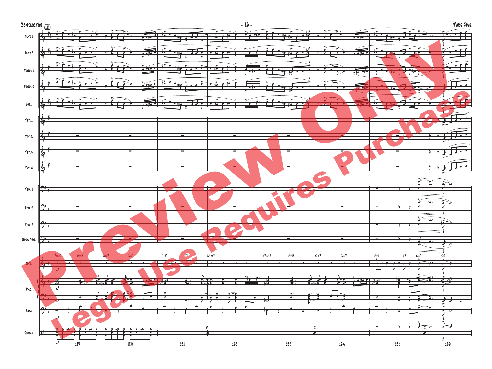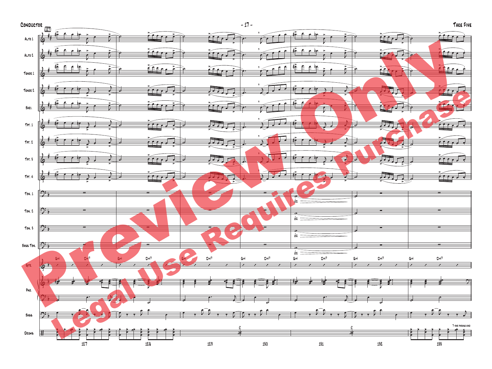